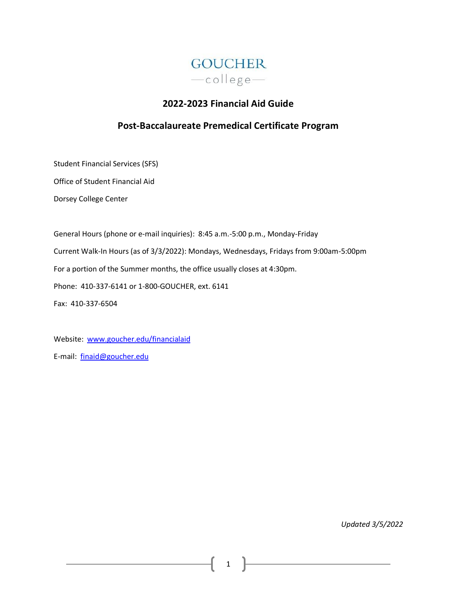

# **2022-2023 Financial Aid Guide**

# **Post-Baccalaureate Premedical Certificate Program**

Student Financial Services (SFS)

Office of Student Financial Aid

Dorsey College Center

General Hours (phone or e-mail inquiries): 8:45 a.m.-5:00 p.m., Monday-Friday Current Walk-In Hours (as of 3/3/2022): Mondays, Wednesdays, Fridays from 9:00am-5:00pm For a portion of the Summer months, the office usually closes at 4:30pm. Phone: 410-337-6141 or 1-800-GOUCHER, ext. 6141 Fax: 410-337-6504

Website: [www.goucher.edu/financialaid](http://www.goucher.edu/financialaid) E-mail: [finaid@goucher.edu](mailto:finaid@goucher.edu)

*Updated 3/5/2022*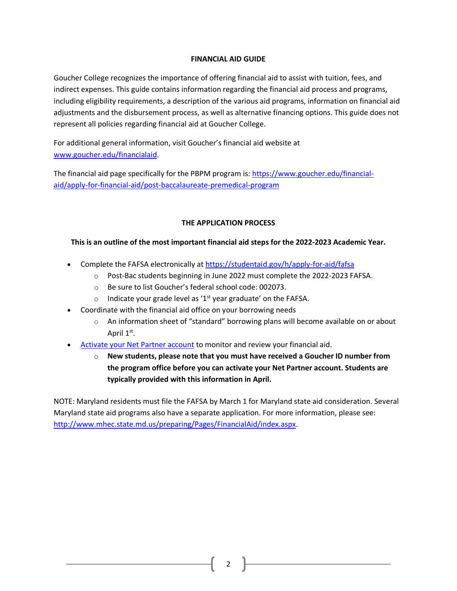# **FINANCIAL AID GUIDE**

Goucher College recognizes the importance of offering financial aid to assist with tuition, fees, and indirect expenses. This guide contains information regarding the financial aid process and programs, including eligibility requirements, a description of the various aid programs, information on financial aid adjustments and the disbursement process, as well as alternative financing options. This guide does not represent all policies regarding financial aid at Goucher College.

For additional general information, visit Goucher's financial aid website at [www.goucher.edu/financialaid.](http://www.goucher.edu/financialaid)

The financial aid page specifically for the PBPM program is: [https://www.goucher.edu/financial](https://www.goucher.edu/financial-aid/apply-for-financial-aid/post-baccalaureate-premedical-program)[aid/apply-for-financial-aid/post-baccalaureate-premedical-program](https://www.goucher.edu/financial-aid/apply-for-financial-aid/post-baccalaureate-premedical-program)

# **THE APPLICATION PROCESS**

# **This is an outline of the most important financial aid steps for the 2022-2023 Academic Year.**

- Complete the FAFSA electronically at<https://studentaid.gov/h/apply-for-aid/fafsa>
	- $\circ$  Post-Bac students beginning in June 2022 must complete the 2022-2023 FAFSA.
	- o Be sure to list Goucher's federal school code: 002073.
	- o Indicate your grade level as '1<sup>st</sup> year graduate' on the FAFSA.
- Coordinate with the financial aid office on your borrowing needs
	- $\circ$  An information sheet of "standard" borrowing plans will become available on or about April 1<sup>st</sup>.
- [Activate your Net Partner](https://www.goucher.edu/financial-aid/net-partner/) account to monitor and review your financial aid.
	- o **New students, please note that you must have received a Goucher ID number from the program office before you can activate your Net Partner account. Students are typically provided with this information in April.**

NOTE: Maryland residents must file the FAFSA by March 1 for Maryland state aid consideration. Several Maryland state aid programs also have a separate application. For more information, please see: [http://www.mhec.state.md.us/preparing/Pages/FinancialAid/index.aspx.](http://www.mhec.state.md.us/preparing/Pages/FinancialAid/index.aspx)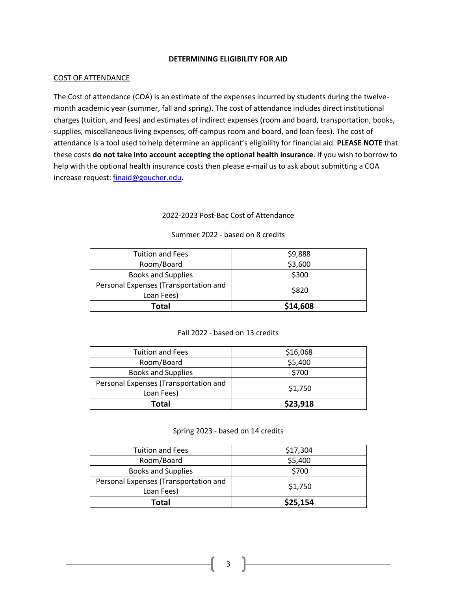# **DETERMINING ELIGIBILITY FOR AID**

#### COST OF ATTENDANCE

The Cost of attendance (COA) is an estimate of the expenses incurred by students during the twelvemonth academic year (summer, fall and spring). The cost of attendance includes direct institutional charges (tuition, and fees) and estimates of indirect expenses (room and board, transportation, books, supplies, miscellaneous living expenses, off-campus room and board, and loan fees). The cost of attendance is a tool used to help determine an applicant's eligibility for financial aid. **PLEASE NOTE** that these costs **do not take into account accepting the optional health insurance**. If you wish to borrow to help with the optional health insurance costs then please e-mail us to ask about submitting a COA increase request[: finaid@goucher.edu.](mailto:finaid@goucher.edu)

# 2022-2023 Post-Bac Cost of Attendance

| <b>Tuition and Fees</b>               | \$9,888  |
|---------------------------------------|----------|
| Room/Board                            | \$3,600  |
| <b>Books and Supplies</b>             | \$300    |
| Personal Expenses (Transportation and | \$820    |
| Loan Fees)                            |          |
| Total                                 | \$14,608 |

# Summer 2022 - based on 8 credits

#### Fall 2022 - based on 13 credits

| <b>Tuition and Fees</b>               | \$16,068 |
|---------------------------------------|----------|
| Room/Board                            | \$5,400  |
| <b>Books and Supplies</b>             | \$700    |
| Personal Expenses (Transportation and | \$1,750  |
| Loan Fees)                            |          |
| Total                                 | \$23,918 |

#### Spring 2023 - based on 14 credits

| Total                                 | \$25,154 |
|---------------------------------------|----------|
| Loan Fees)                            |          |
| Personal Expenses (Transportation and | \$1,750  |
| <b>Books and Supplies</b>             | \$700    |
| Room/Board                            | \$5,400  |
| <b>Tuition and Fees</b>               | \$17,304 |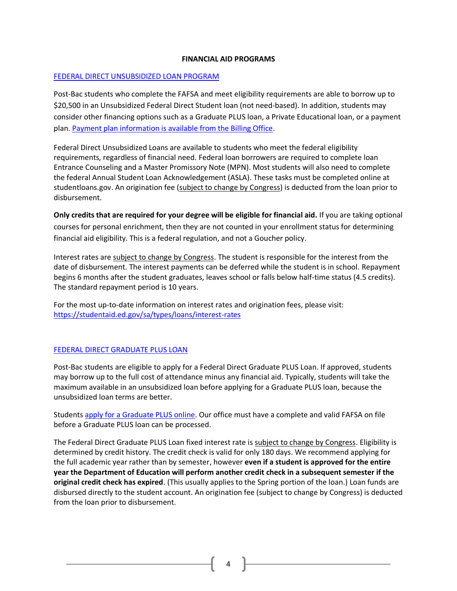# **FINANCIAL AID PROGRAMS**

### [FEDERAL DIRECT UNSUBSIDIZED LOAN PROGRAM](https://studentaid.ed.gov/sa/types/loans)

Post-Bac students who complete the FAFSA and meet eligibility requirements are able to borrow up to \$20,500 in an Unsubsidized Federal Direct Student loan (not need-based). In addition, students may consider other financing options such as a Graduate PLUS loan, a Private Educational loan, or a payment plan. [Payment plan information is available from the Billing Office.](https://www.goucher.edu/billing/payment-options)

Federal Direct Unsubsidized Loans are available to students who meet the federal eligibility requirements, regardless of financial need. Federal loan borrowers are required to complete loan Entrance Counseling and a Master Promissory Note (MPN). Most students will also need to complete the federal Annual Student Loan Acknowledgement (ASLA). These tasks must be completed online at studentloans.gov. An origination fee (subject to change by Congress) is deducted from the loan prior to disbursement.

**Only credits that are required for your degree will be eligible for financial aid.** If you are taking optional courses for personal enrichment, then they are not counted in your enrollment status for determining financial aid eligibility. This is a federal regulation, and not a Goucher policy.

Interest rates are subject to change by Congress. The student is responsible for the interest from the date of disbursement. The interest payments can be deferred while the student is in school. Repayment begins 6 months after the student graduates, leaves school or falls below half-time status (4.5 credits). The standard repayment period is 10 years.

For the most up-to-date information on interest rates and origination fees, please visit: <https://studentaid.ed.gov/sa/types/loans/interest-rates>

#### [FEDERAL DIRECT GRADUATE PLUS LOAN](https://studentaid.ed.gov/sa/types/loans/plus)

Post-Bac students are eligible to apply for a Federal Direct Graduate PLUS Loan. If approved, students may borrow up to the full cost of attendance minus any financial aid. Typically, students will take the maximum available in an unsubsidized loan before applying for a Graduate PLUS loan, because the unsubsidized loan terms are better.

Students [apply for a Graduate PLUS online.](https://studentaid.gov/app/launchPLUS.action?plusType=gradPlus) Our office must have a complete and valid FAFSA on file before a Graduate PLUS loan can be processed.

The Federal Direct Graduate PLUS Loan fixed interest rate is subject to change by Congress. Eligibility is determined by credit history. The credit check is valid for only 180 days. We recommend applying for the full academic year rather than by semester, however **even if a student is approved for the entire year the Department of Education will perform another credit check in a subsequent semester if the original credit check has expired**. (This usually applies to the Spring portion of the loan.) Loan funds are disbursed directly to the student account. An origination fee (subject to change by Congress) is deducted from the loan prior to disbursement.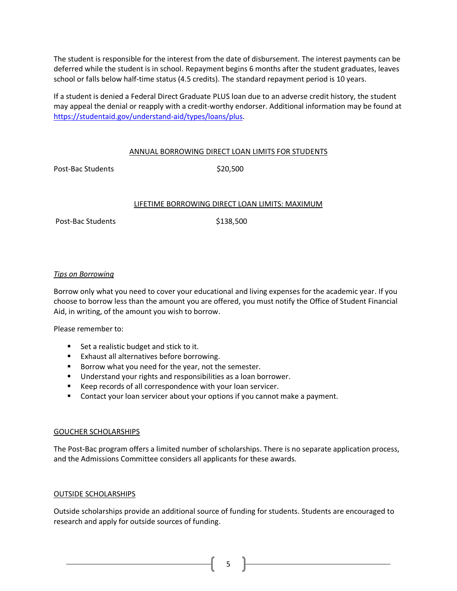The student is responsible for the interest from the date of disbursement. The interest payments can be deferred while the student is in school. Repayment begins 6 months after the student graduates, leaves school or falls below half-time status (4.5 credits). The standard repayment period is 10 years.

If a student is denied a Federal Direct Graduate PLUS loan due to an adverse credit history, the student may appeal the denial or reapply with a credit-worthy endorser. Additional information may be found at [https://studentaid.gov/understand-aid/types/loans/plus.](https://studentaid.gov/understand-aid/types/loans/plus)

#### ANNUAL BORROWING DIRECT LOAN LIMITS FOR STUDENTS

Post-Bac Students \$20,500

#### LIFETIME BORROWING DIRECT LOAN LIMITS: MAXIMUM

Post-Bac Students \$138,500

#### *Tips on Borrowing*

Borrow only what you need to cover your educational and living expenses for the academic year. If you choose to borrow less than the amount you are offered, you must notify the Office of Student Financial Aid, in writing, of the amount you wish to borrow.

Please remember to:

- Set a realistic budget and stick to it.
- Exhaust all alternatives before borrowing.
- Borrow what you need for the year, not the semester.
- Understand your rights and responsibilities as a loan borrower.
- Keep records of all correspondence with your loan servicer.
- Contact your loan servicer about your options if you cannot make a payment.

#### GOUCHER SCHOLARSHIPS

The Post-Bac program offers a limited number of scholarships. There is no separate application process, and the Admissions Committee considers all applicants for these awards.

#### OUTSIDE SCHOLARSHIPS

Outside scholarships provide an additional source of funding for students. Students are encouraged to research and apply for outside sources of funding.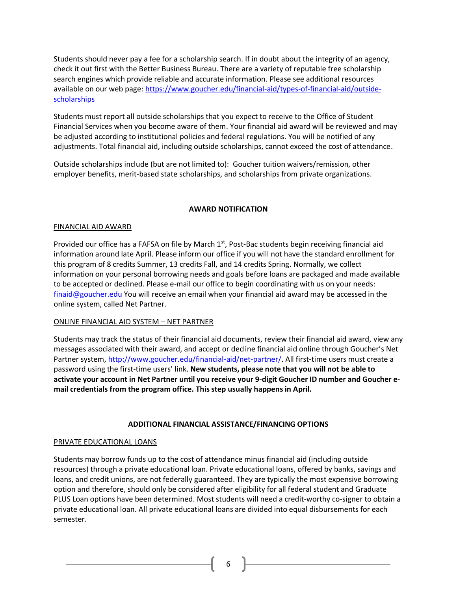Students should never pay a fee for a scholarship search. If in doubt about the integrity of an agency, check it out first with the Better Business Bureau. There are a variety of reputable free scholarship search engines which provide reliable and accurate information. Please see additional resources available on our web page: [https://www.goucher.edu/financial-aid/types-of-financial-aid/outside](https://www.goucher.edu/financial-aid/types-of-financial-aid/outside-scholarships)[scholarships](https://www.goucher.edu/financial-aid/types-of-financial-aid/outside-scholarships)

Students must report all outside scholarships that you expect to receive to the Office of Student Financial Services when you become aware of them. Your financial aid award will be reviewed and may be adjusted according to institutional policies and federal regulations. You will be notified of any adjustments. Total financial aid, including outside scholarships, cannot exceed the cost of attendance.

Outside scholarships include (but are not limited to): Goucher tuition waivers/remission, other employer benefits, merit-based state scholarships, and scholarships from private organizations.

# **AWARD NOTIFICATION**

#### FINANCIAL AID AWARD

Provided our office has a FAFSA on file by March 1<sup>st</sup>, Post-Bac students begin receiving financial aid information around late April. Please inform our office if you will not have the standard enrollment for this program of 8 credits Summer, 13 credits Fall, and 14 credits Spring. Normally, we collect information on your personal borrowing needs and goals before loans are packaged and made available to be accepted or declined. Please e-mail our office to begin coordinating with us on your needs: [finaid@goucher.edu](mailto:finaid@goucher.edu) You will receive an email when your financial aid award may be accessed in the online system, called Net Partner.

# ONLINE FINANCIAL AID SYSTEM – NET PARTNER

Students may track the status of their financial aid documents, review their financial aid award, view any messages associated with their award, and accept or decline financial aid online through Goucher's Net Partner system, [http://www.goucher.edu/financial-aid/net-partner/.](http://www.goucher.edu/financial-aid/net-partner/) All first-time users must create a password using the first-time users' link. **New students, please note that you will not be able to activate your account in Net Partner until you receive your 9-digit Goucher ID number and Goucher email credentials from the program office. This step usually happens in April.**

#### **ADDITIONAL FINANCIAL ASSISTANCE/FINANCING OPTIONS**

#### PRIVATE EDUCATIONAL LOANS

Students may borrow funds up to the cost of attendance minus financial aid (including outside resources) through a private educational loan. Private educational loans, offered by banks, savings and loans, and credit unions, are not federally guaranteed. They are typically the most expensive borrowing option and therefore, should only be considered after eligibility for all federal student and Graduate PLUS Loan options have been determined. Most students will need a credit-worthy co-signer to obtain a private educational loan. All private educational loans are divided into equal disbursements for each semester.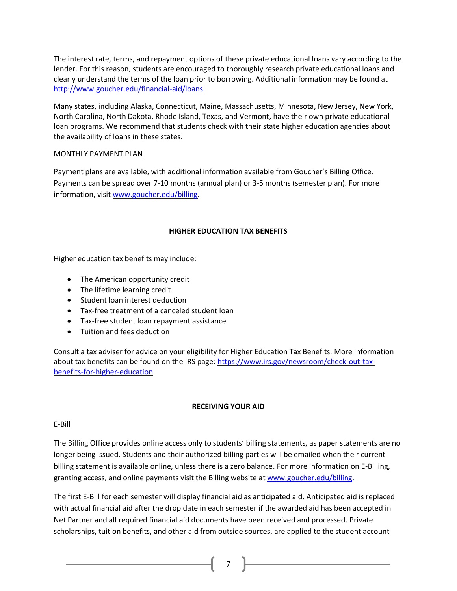The interest rate, terms, and repayment options of these private educational loans vary according to the lender. For this reason, students are encouraged to thoroughly research private educational loans and clearly understand the terms of the loan prior to borrowing. Additional information may be found at [http://www.goucher.edu/financial-aid/loans.](http://www.goucher.edu/financial-aid/loans)

Many states, including Alaska, Connecticut, Maine, Massachusetts, Minnesota, New Jersey, New York, North Carolina, North Dakota, Rhode Island, Texas, and Vermont, have their own private educational loan programs. We recommend that students check with their state higher education agencies about the availability of loans in these states.

# MONTHLY PAYMENT PLAN

Payment plans are available, with additional information available from Goucher's Billing Office. Payments can be spread over 7-10 months (annual plan) or 3-5 months (semester plan). For more information, visit [www.goucher.edu/billing.](http://www.goucher.edu/billing)

# **HIGHER EDUCATION TAX BENEFITS**

Higher education tax benefits may include:

- The American opportunity credit
- The lifetime learning credit
- Student loan interest deduction
- Tax-free treatment of a canceled student loan
- Tax-free student loan repayment assistance
- Tuition and fees deduction

Consult a tax adviser for advice on your eligibility for Higher Education Tax Benefits. More information about tax benefits can be found on the IRS page[: https://www.irs.gov/newsroom/check-out-tax](https://www.irs.gov/newsroom/check-out-tax-benefits-for-higher-education)[benefits-for-higher-education](https://www.irs.gov/newsroom/check-out-tax-benefits-for-higher-education)

# **RECEIVING YOUR AID**

# E-Bill

The Billing Office provides online access only to students' billing statements, as paper statements are no longer being issued. Students and their authorized billing parties will be emailed when their current billing statement is available online, unless there is a zero balance. For more information on E-Billing, granting access, and online payments visit the Billing website at [www.goucher.edu/billing.](http://www.goucher.edu/billing)

The first E-Bill for each semester will display financial aid as anticipated aid. Anticipated aid is replaced with actual financial aid after the drop date in each semester if the awarded aid has been accepted in Net Partner and all required financial aid documents have been received and processed. Private scholarships, tuition benefits, and other aid from outside sources, are applied to the student account

{ 7 }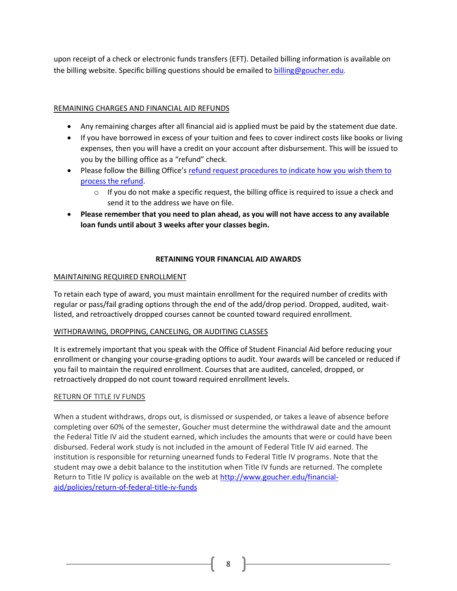upon receipt of a check or electronic funds transfers (EFT). Detailed billing information is available on the billing website. Specific billing questions should be emailed to [billing@goucher.edu.](mailto:billing@goucher.edu)

# REMAINING CHARGES AND FINANCIAL AID REFUNDS

- Any remaining charges after all financial aid is applied must be paid by the statement due date.
- If you have borrowed in excess of your tuition and fees to cover indirect costs like books or living expenses, then you will have a credit on your account after disbursement. This will be issued to you by the billing office as a "refund" check.
- Please follow the Billing Office's [refund request procedures to indicate how you wish them to](https://www.goucher.edu/billing/refund-policy/request-for-refund)  [process the](https://www.goucher.edu/billing/refund-policy/request-for-refund) refund.
	- $\circ$  If you do not make a specific request, the billing office is required to issue a check and send it to the address we have on file.
- **Please remember that you need to plan ahead, as you will not have access to any available loan funds until about 3 weeks after your classes begin.**

# **RETAINING YOUR FINANCIAL AID AWARDS**

# MAINTAINING REQUIRED ENROLLMENT

To retain each type of award, you must maintain enrollment for the required number of credits with regular or pass/fail grading options through the end of the add/drop period. Dropped, audited, waitlisted, and retroactively dropped courses cannot be counted toward required enrollment.

# WITHDRAWING, DROPPING, CANCELING, OR AUDITING CLASSES

It is extremely important that you speak with the Office of Student Financial Aid before reducing your enrollment or changing your course-grading options to audit. Your awards will be canceled or reduced if you fail to maintain the required enrollment. Courses that are audited, canceled, dropped, or retroactively dropped do not count toward required enrollment levels.

# RETURN OF TITLE IV FUNDS

When a student withdraws, drops out, is dismissed or suspended, or takes a leave of absence before completing over 60% of the semester, Goucher must determine the withdrawal date and the amount the Federal Title IV aid the student earned, which includes the amounts that were or could have been disbursed. Federal work study is not included in the amount of Federal Title IV aid earned. The institution is responsible for returning unearned funds to Federal Title IV programs. Note that the student may owe a debit balance to the institution when Title IV funds are returned. The complete Return to Title IV policy is available on the web at [http://www.goucher.edu/financial](http://www.goucher.edu/financial-aid/policies/return-of-federal-title-iv-funds)[aid/policies/return-of-federal-title-iv-funds](http://www.goucher.edu/financial-aid/policies/return-of-federal-title-iv-funds)